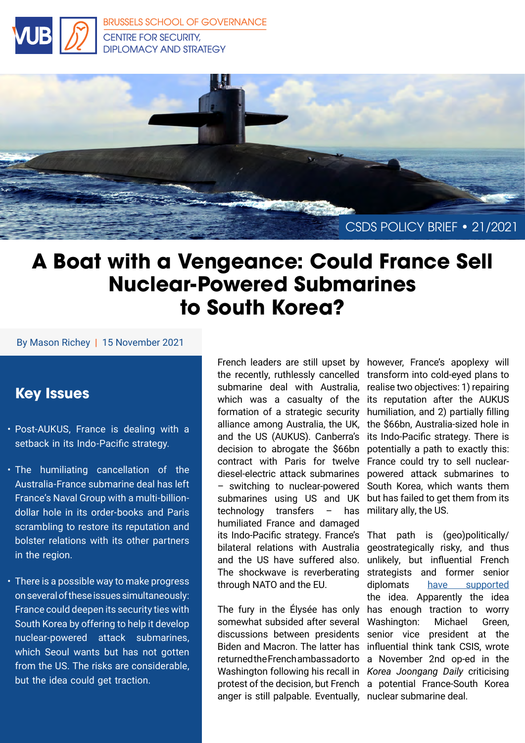



## **A Boat with a Vengeance: Could France Sell Nuclear-Powered Submarines to South Korea?**

#### By Mason Richey | 15 November 2021

### **Key Issues**

- Post-AUKUS, France is dealing with a setback in its Indo-Pacific strategy.
- The humiliating cancellation of the Australia-France submarine deal has left France's Naval Group with a multi-billiondollar hole in its order-books and Paris scrambling to restore its reputation and bolster relations with its other partners in the region.
- There is a possible way to make progress on several of these issues simultaneously: France could deepen its security ties with South Korea by offering to help it develop nuclear-powered attack submarines, which Seoul wants but has not gotten from the US. The risks are considerable, but the idea could get traction.

the recently, ruthlessly cancelled transform into cold-eyed plans to submarine deal with Australia, which was a casualty of the its reputation after the AUKUS formation of a strategic security alliance among Australia, the UK, and the US (AUKUS). Canberra's decision to abrogate the \$66bn contract with Paris for twelve diesel-electric attack submarines – switching to nuclear-powered submarines using US and UK technology transfers – has humiliated France and damaged its Indo-Pacific strategy. France's bilateral relations with Australia and the US have suffered also. The shockwave is reverberating through NATO and the EU.

The fury in the Élysée has only somewhat subsided after several discussions between presidents Biden and Macron. The latter has returned the French ambassador to Washington following his recall in *Korea Joongang Daily* criticising protest of the decision, but French a potential France-South Korea anger is still palpable. Eventually, nuclear submarine deal.

French leaders are still upset by however, France's apoplexy will realise two objectives: 1) repairing humiliation, and 2) partially filling the \$66bn, Australia-sized hole in its Indo-Pacific strategy. There is potentially a path to exactly this: France could try to sell nuclearpowered attack submarines to South Korea, which wants them but has failed to get them from its military ally, the US.

> That path is (geo)politically/ geostrategically risky, and thus unlikely, but influential French strategists and former senior diplomats [have supported](https://www.institutmontaigne.org/en/blog/after-aukus-how-could-france-reboot-its-indo-pacific-strategy) the idea. Apparently the idea has enough traction to worry Washington: Michael Green, senior vice president at the influential think tank CSIS, wrote a November 2nd op-ed in the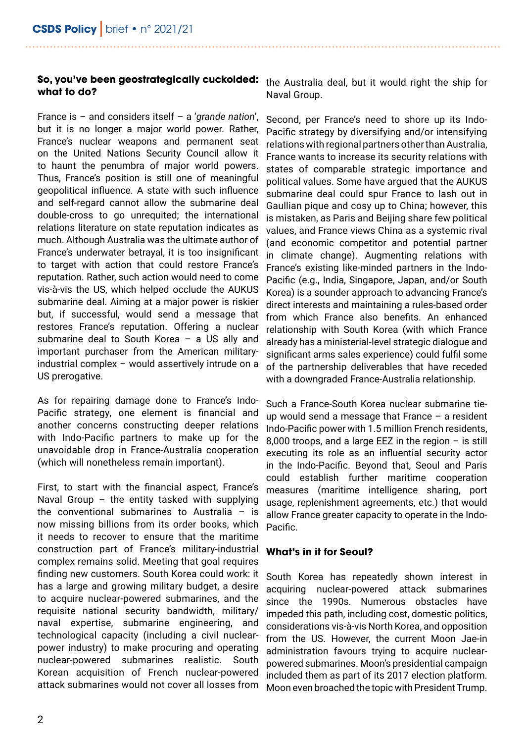#### **So, you've been geostrategically cuckolded: what to do?**

France is – and considers itself – a '*grande nation*', but it is no longer a major world power. Rather, France's nuclear weapons and permanent seat on the United Nations Security Council allow it to haunt the penumbra of major world powers. Thus, France's position is still one of meaningful geopolitical influence. A state with such influence and self-regard cannot allow the submarine deal double-cross to go unrequited; the international relations literature on state reputation indicates as much. Although Australia was the ultimate author of France's underwater betrayal, it is too insignificant to target with action that could restore France's reputation. Rather, such action would need to come vis-à-vis the US, which helped occlude the AUKUS submarine deal. Aiming at a major power is riskier but, if successful, would send a message that restores France's reputation. Offering a nuclear submarine deal to South Korea – a US ally and important purchaser from the American militaryindustrial complex – would assertively intrude on a US prerogative.

As for repairing damage done to France's Indo-Pacific strategy, one element is financial and another concerns constructing deeper relations with Indo-Pacific partners to make up for the unavoidable drop in France-Australia cooperation (which will nonetheless remain important).

First, to start with the financial aspect, France's Naval Group – the entity tasked with supplying the conventional submarines to Australia – is now missing billions from its order books, which it needs to recover to ensure that the maritime construction part of France's military-industrial complex remains solid. Meeting that goal requires finding new customers. South Korea could work: it has a large and growing military budget, a desire to acquire nuclear-powered submarines, and the requisite national security bandwidth, military/ naval expertise, submarine engineering, and technological capacity (including a civil nuclearpower industry) to make procuring and operating nuclear-powered submarines realistic. South Korean acquisition of French nuclear-powered attack submarines would not cover all losses from

the Australia deal, but it would right the ship for Naval Group.

Second, per France's need to shore up its Indo-Pacific strategy by diversifying and/or intensifying relations with regional partners other than Australia, France wants to increase its security relations with states of comparable strategic importance and political values. Some have argued that the AUKUS submarine deal could spur France to lash out in Gaullian pique and cosy up to China; however, this is mistaken, as Paris and Beijing share few political values, and France views China as a systemic rival (and economic competitor and potential partner in climate change). Augmenting relations with France's existing like-minded partners in the Indo-Pacific (e.g., India, Singapore, Japan, and/or South Korea) is a sounder approach to advancing France's direct interests and maintaining a rules-based order from which France also benefits. An enhanced relationship with South Korea (with which France already has a ministerial-level strategic dialogue and significant arms sales experience) could fulfil some of the partnership deliverables that have receded with a downgraded France-Australia relationship.

Such a France-South Korea nuclear submarine tieup would send a message that France  $-$  a resident Indo-Pacific power with 1.5 million French residents, 8,000 troops, and a large EEZ in the region – is still executing its role as an influential security actor in the Indo-Pacific. Beyond that, Seoul and Paris could establish further maritime cooperation measures (maritime intelligence sharing, port usage, replenishment agreements, etc.) that would allow France greater capacity to operate in the Indo-Pacific.

#### **What's in it for Seoul?**

South Korea has repeatedly shown interest in acquiring nuclear-powered attack submarines since the 1990s. Numerous obstacles have impeded this path, including cost, domestic politics, considerations vis-à-vis North Korea, and opposition from the US. However, the current Moon Jae-in administration favours trying to acquire nuclearpowered submarines. Moon's presidential campaign included them as part of its 2017 election platform. Moon even broached the topic with President Trump.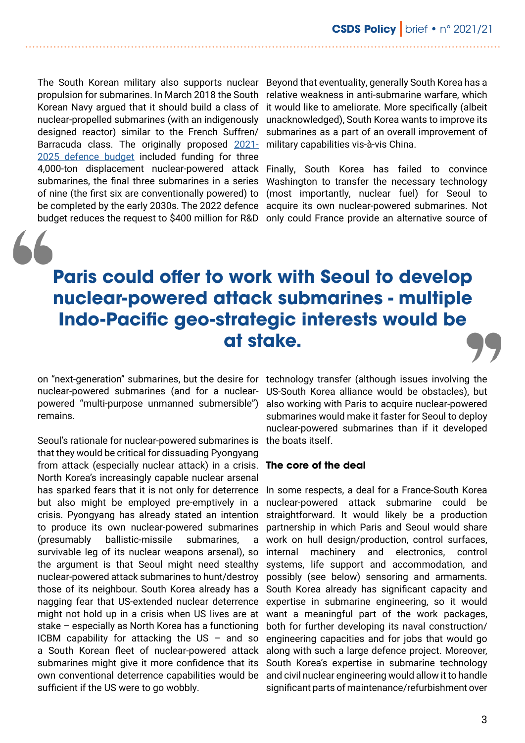propulsion for submarines. In March 2018 the South Korean Navy argued that it should build a class of nuclear-propelled submarines (with an indigenously designed reactor) similar to the French Suffren/ Barracuda class. The originally proposed [2021-](https://www.donga.com/en/article/all/20200811/2147590/1/S-Korean-military-announces-plan-to-develop-3-4-000-ton-submarines) military capabilities vis-à-vis China. [2025 defence budget](https://www.donga.com/en/article/all/20200811/2147590/1/S-Korean-military-announces-plan-to-develop-3-4-000-ton-submarines) included funding for three 4,000-ton displacement nuclear-powered attack Finally, South Korea has failed to convince submarines, the final three submarines in a series of nine (the first six are conventionally powered) to be completed by the early 2030s. The 2022 defence acquire its own nuclear-powered submarines. Not

The South Korean military also supports nuclear Beyond that eventuality, generally South Korea has a relative weakness in anti-submarine warfare, which it would like to ameliorate. More specifically (albeit unacknowledged), South Korea wants to improve its submarines as a part of an overall improvement of

budget reduces the request to \$400 million for R&D only could France provide an alternative source of Washington to transfer the necessary technology (most importantly, nuclear fuel) for Seoul to

## **Paris could offer to work with Seoul to develop nuclear-powered attack submarines - multiple Indo-Pacific geo-strategic interests would be at stake.**

remains.

Seoul's rationale for nuclear-powered submarines is that they would be critical for dissuading Pyongyang from attack (especially nuclear attack) in a crisis. North Korea's increasingly capable nuclear arsenal has sparked fears that it is not only for deterrence but also might be employed pre-emptively in a crisis. Pyongyang has already stated an intention to produce its own nuclear-powered submarines (presumably ballistic-missile submarines, a survivable leg of its nuclear weapons arsenal), so the argument is that Seoul might need stealthy nuclear-powered attack submarines to hunt/destroy those of its neighbour. South Korea already has a nagging fear that US-extended nuclear deterrence might not hold up in a crisis when US lives are at stake – especially as North Korea has a functioning ICBM capability for attacking the US – and so a South Korean fleet of nuclear-powered attack submarines might give it more confidence that its own conventional deterrence capabilities would be sufficient if the US were to go wobbly.

on "next-generation" submarines, but the desire for technology transfer (although issues involving the nuclear-powered submarines (and for a nuclear-US-South Korea alliance would be obstacles), but powered "multi-purpose unmanned submersible") also working with Paris to acquire nuclear-powered submarines would make it faster for Seoul to deploy nuclear-powered submarines than if it developed the boats itself.

#### **The core of the deal**

In some respects, a deal for a France-South Korea nuclear-powered attack submarine could be straightforward. It would likely be a production partnership in which Paris and Seoul would share work on hull design/production, control surfaces, internal machinery and electronics, control systems, life support and accommodation, and possibly (see below) sensoring and armaments. South Korea already has significant capacity and expertise in submarine engineering, so it would want a meaningful part of the work packages, both for further developing its naval construction/ engineering capacities and for jobs that would go along with such a large defence project. Moreover, South Korea's expertise in submarine technology and civil nuclear engineering would allow it to handle significant parts of maintenance/refurbishment over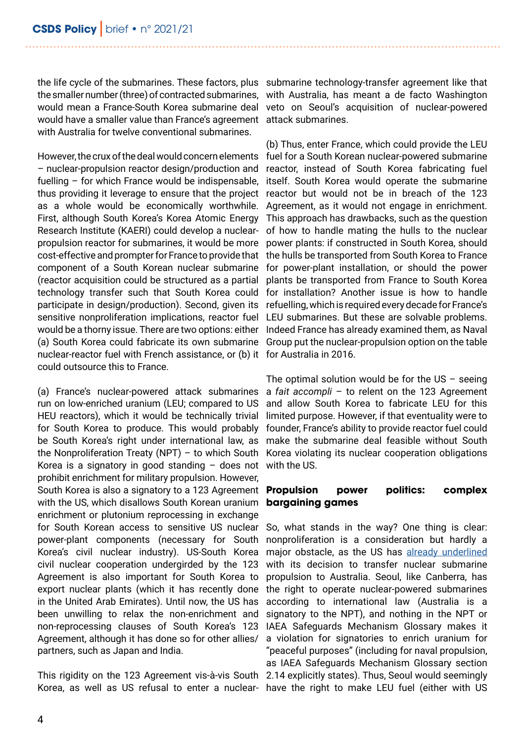the life cycle of the submarines. These factors, plus submarine technology-transfer agreement like that the smaller number (three) of contracted submarines, with Australia, has meant a de facto Washington would mean a France-South Korea submarine deal veto on Seoul's acquisition of nuclear-powered would have a smaller value than France's agreement attack submarines. with Australia for twelve conventional submarines.

However, the crux of the deal would concern elements – nuclear-propulsion reactor design/production and fuelling – for which France would be indispensable, thus providing it leverage to ensure that the project as a whole would be economically worthwhile. First, although South Korea's Korea Atomic Energy Research Institute (KAERI) could develop a nuclearpropulsion reactor for submarines, it would be more cost-effective and prompter for France to provide that the hulls be transported from South Korea to France component of a South Korean nuclear submarine (reactor acquisition could be structured as a partial technology transfer such that South Korea could for installation? Another issue is how to handle participate in design/production). Second, given its refuelling, which is required every decade for France's sensitive nonproliferation implications, reactor fuel would be a thorny issue. There are two options: either (a) South Korea could fabricate its own submarine Group put the nuclear-propulsion option on the table nuclear-reactor fuel with French assistance, or (b) it for Australia in 2016. could outsource this to France.

(a) France's nuclear-powered attack submarines run on low-enriched uranium (LEU; compared to US HEU reactors), which it would be technically trivial for South Korea to produce. This would probably be South Korea's right under international law, as the Nonproliferation Treaty (NPT) – to which South Korea is a signatory in good standing  $-$  does not prohibit enrichment for military propulsion. However, South Korea is also a signatory to a 123 Agreement **Propulsion power politics: complex** with the US, which disallows South Korean uranium enrichment or plutonium reprocessing in exchange for South Korean access to sensitive US nuclear power-plant components (necessary for South Korea's civil nuclear industry). US-South Korea civil nuclear cooperation undergirded by the 123 Agreement is also important for South Korea to export nuclear plants (which it has recently done in the United Arab Emirates). Until now, the US has been unwilling to relax the non-enrichment and non-reprocessing clauses of South Korea's 123 Agreement, although it has done so for other allies/ partners, such as Japan and India.

This rigidity on the 123 Agreement vis-à-vis South 2.14 explicitly states). Thus, Seoul would seemingly Korea, as well as US refusal to enter a nuclear- have the right to make LEU fuel (either with US

(b) Thus, enter France, which could provide the LEU fuel for a South Korean nuclear-powered submarine reactor, instead of South Korea fabricating fuel itself. South Korea would operate the submarine reactor but would not be in breach of the 123 Agreement, as it would not engage in enrichment. This approach has drawbacks, such as the question of how to handle mating the hulls to the nuclear power plants: if constructed in South Korea, should for power-plant installation, or should the power plants be transported from France to South Korea LEU submarines. But these are solvable problems. Indeed France has already examined them, as Naval

The optimal solution would be for the US  $-$  seeing a *fait accompli* – to relent on the 123 Agreement and allow South Korea to fabricate LEU for this limited purpose. However, if that eventuality were to founder, France's ability to provide reactor fuel could make the submarine deal feasible without South Korea violating its nuclear cooperation obligations with the US.

# **bargaining games**

So, what stands in the way? One thing is clear: nonproliferation is a consideration but hardly a major obstacle, as the US has [already underlined](https://www.state.gov/joint-statement-on-australia-u-s-ministerial-consultations-ausmin-2021/) with its decision to transfer nuclear submarine propulsion to Australia. Seoul, like Canberra, has the right to operate nuclear-powered submarines according to international law (Australia is a signatory to the NPT), and nothing in the NPT or IAEA Safeguards Mechanism Glossary makes it a violation for signatories to enrich uranium for "peaceful purposes" (including for naval propulsion, as IAEA Safeguards Mechanism Glossary section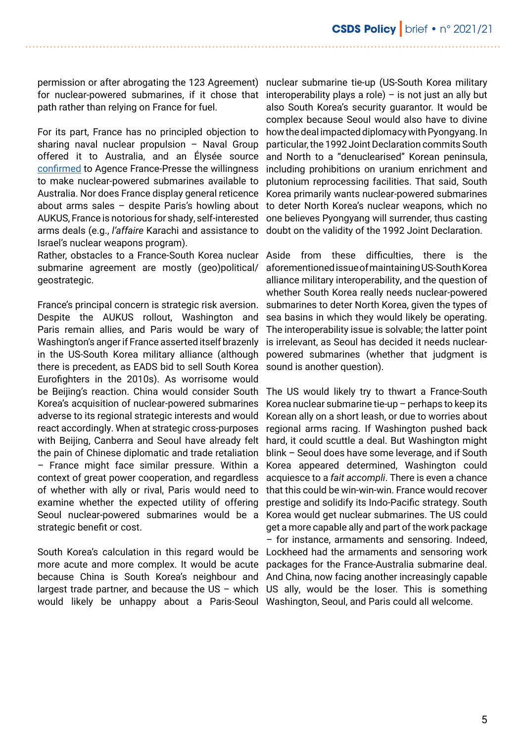permission or after abrogating the 123 Agreement) nuclear submarine tie-up (US-South Korea military for nuclear-powered submarines, if it chose that interoperability plays a role) – is not just an ally but path rather than relying on France for fuel.

For its part, France has no principled objection to sharing naval nuclear propulsion – Naval Group offered it to Australia, and an Élysée source [confirmed](https://bit.ly/3wt1rfk) to Agence France-Presse the willingness to make nuclear-powered submarines available to Australia. Nor does France display general reticence about arms sales – despite Paris's howling about AUKUS, France is notorious for shady, self-interested arms deals (e.g., *l'affaire* Karachi and assistance to Israel's nuclear weapons program).

Rather, obstacles to a France-South Korea nuclear submarine agreement are mostly (geo)political/ geostrategic.

France's principal concern is strategic risk aversion. Despite the AUKUS rollout, Washington and Paris remain allies, and Paris would be wary of Washington's anger if France asserted itself brazenly in the US-South Korea military alliance (although there is precedent, as EADS bid to sell South Korea Eurofighters in the 2010s). As worrisome would be Beijing's reaction. China would consider South Korea's acquisition of nuclear-powered submarines adverse to its regional strategic interests and would react accordingly. When at strategic cross-purposes with Beijing, Canberra and Seoul have already felt the pain of Chinese diplomatic and trade retaliation – France might face similar pressure. Within a context of great power cooperation, and regardless of whether with ally or rival, Paris would need to examine whether the expected utility of offering Seoul nuclear-powered submarines would be a strategic benefit or cost.

South Korea's calculation in this regard would be more acute and more complex. It would be acute because China is South Korea's neighbour and largest trade partner, and because the US – which US ally, would be the loser. This is something would likely be unhappy about a Paris-Seoul Washington, Seoul, and Paris could all welcome.

also South Korea's security guarantor. It would be complex because Seoul would also have to divine how the deal impacted diplomacy with Pyongyang. In particular, the 1992 Joint Declaration commits South and North to a "denuclearised" Korean peninsula, including prohibitions on uranium enrichment and plutonium reprocessing facilities. That said, South Korea primarily wants nuclear-powered submarines to deter North Korea's nuclear weapons, which no one believes Pyongyang will surrender, thus casting doubt on the validity of the 1992 Joint Declaration.

Aside from these difficulties, there is the aforementioned issue of maintaining US-South Korea alliance military interoperability, and the question of whether South Korea really needs nuclear-powered submarines to deter North Korea, given the types of sea basins in which they would likely be operating. The interoperability issue is solvable; the latter point is irrelevant, as Seoul has decided it needs nuclearpowered submarines (whether that judgment is sound is another question).

The US would likely try to thwart a France-South Korea nuclear submarine tie-up – perhaps to keep its Korean ally on a short leash, or due to worries about regional arms racing. If Washington pushed back hard, it could scuttle a deal. But Washington might blink – Seoul does have some leverage, and if South Korea appeared determined, Washington could acquiesce to a *fait accompli*. There is even a chance that this could be win-win-win. France would recover prestige and solidify its Indo-Pacific strategy. South Korea would get nuclear submarines. The US could get a more capable ally and part of the work package – for instance, armaments and sensoring. Indeed, Lockheed had the armaments and sensoring work packages for the France-Australia submarine deal. And China, now facing another increasingly capable